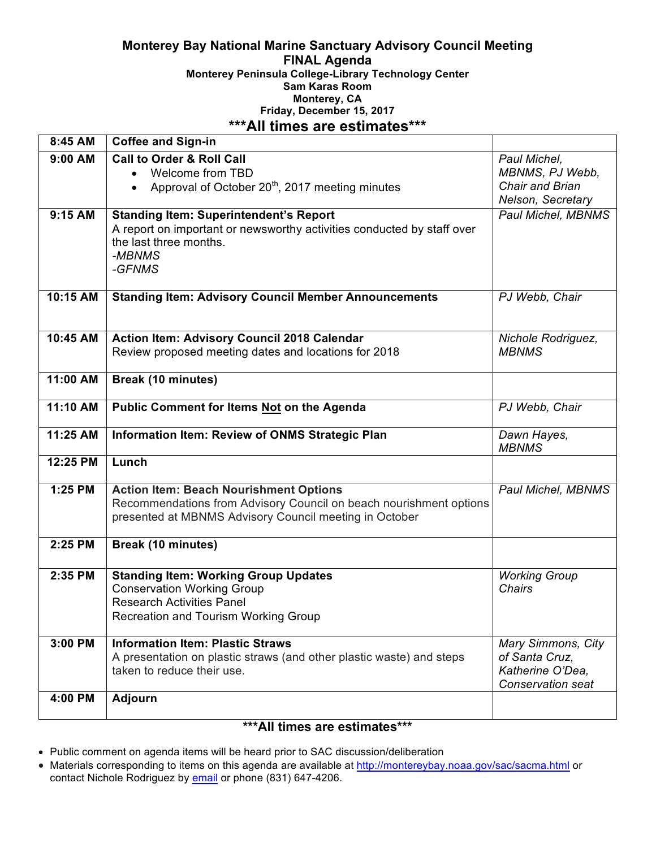#### **Monterey Bay National Marine Sanctuary Advisory Council Meeting FINAL Agenda Monterey Peninsula College-Library Technology Center Sam Karas Room Monterey, CA Friday, December 15, 2017 \*\*\*All times are estimates\*\*\***

| 8:45 AM   | <b>Coffee and Sign-in</b>                                                                                                                                                     |                                                                               |
|-----------|-------------------------------------------------------------------------------------------------------------------------------------------------------------------------------|-------------------------------------------------------------------------------|
| $9:00$ AM | <b>Call to Order &amp; Roll Call</b><br>Welcome from TBD<br>$\bullet$<br>Approval of October 20 <sup>th</sup> , 2017 meeting minutes                                          | Paul Michel,<br>MBNMS, PJ Webb,<br>Chair and Brian<br>Nelson, Secretary       |
| $9:15$ AM | <b>Standing Item: Superintendent's Report</b><br>A report on important or newsworthy activities conducted by staff over<br>the last three months.<br>-MBNMS<br>-GFNMS         | Paul Michel, MBNMS                                                            |
| 10:15 AM  | <b>Standing Item: Advisory Council Member Announcements</b>                                                                                                                   | PJ Webb, Chair                                                                |
| 10:45 AM  | <b>Action Item: Advisory Council 2018 Calendar</b><br>Review proposed meeting dates and locations for 2018                                                                    | Nichole Rodriguez,<br><b>MBNMS</b>                                            |
| 11:00 AM  | <b>Break (10 minutes)</b>                                                                                                                                                     |                                                                               |
| 11:10 AM  | <b>Public Comment for Items Not on the Agenda</b>                                                                                                                             | PJ Webb, Chair                                                                |
| 11:25 AM  | Information Item: Review of ONMS Strategic Plan                                                                                                                               | Dawn Hayes,<br><b>MBNMS</b>                                                   |
| 12:25 PM  | Lunch                                                                                                                                                                         |                                                                               |
| 1:25 PM   | <b>Action Item: Beach Nourishment Options</b><br>Recommendations from Advisory Council on beach nourishment options<br>presented at MBNMS Advisory Council meeting in October | Paul Michel, MBNMS                                                            |
| 2:25 PM   | Break (10 minutes)                                                                                                                                                            |                                                                               |
| 2:35 PM   | <b>Standing Item: Working Group Updates</b><br><b>Conservation Working Group</b><br><b>Research Activities Panel</b><br>Recreation and Tourism Working Group                  | <b>Working Group</b><br>Chairs                                                |
| 3:00 PM   | <b>Information Item: Plastic Straws</b><br>A presentation on plastic straws (and other plastic waste) and steps<br>taken to reduce their use.                                 | Mary Simmons, City<br>of Santa Cruz,<br>Katherine O'Dea,<br>Conservation seat |
|           |                                                                                                                                                                               |                                                                               |
| 4:00 PM   | <b>Adjourn</b>                                                                                                                                                                |                                                                               |

### **\*\*\*All times are estimates\*\*\***

- Public comment on agenda items will be heard prior to SAC discussion/deliberation
- Materials corresponding to items on this agenda are available at http://montereybay.noaa.gov/sac/sacma.html or contact Nichole Rodriguez by email or phone (831) 647-4206.